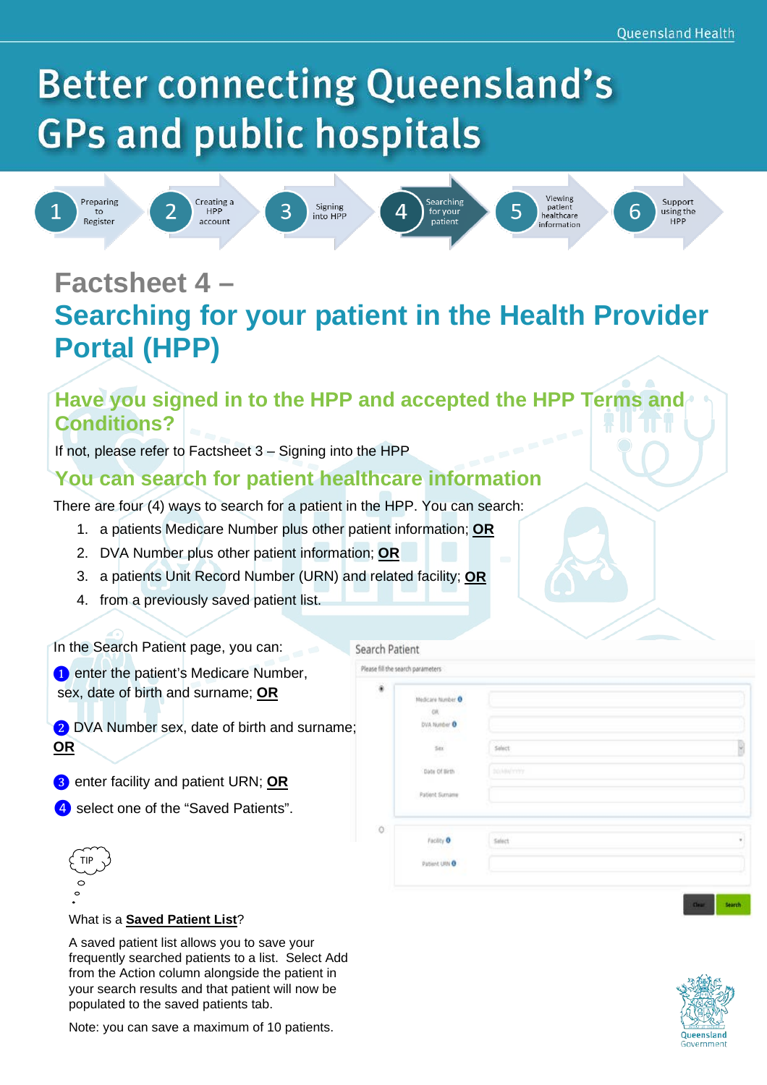# **Better connecting Queensland's GPs and public hospitals**



## **Factsheet 4 –**

### **Searching for your patient in the Health Provider Portal (HPP)**

#### **Have you signed in to the HPP and accepted the HPP Terms and Conditions?**

Search Patient

If not, please refer to Factsheet 3 – Signing into the HPP

#### **You can search for patient healthcare information**

There are four (4) ways to search for a patient in the HPP. You can search:

- 1. a patients Medicare Number plus other patient information; **OR**
- 2. DVA Number plus other patient information; **OR**
- 3. a patients Unit Record Number (URN) and related facility; **OR**
- 4. from a previously saved patient list.

In the Search Patient page, you can:

**O** enter the patient's Medicare Number, sex, date of birth and surname; **OR**

❷ DVA Number sex, date of birth and surname; **OR**

- ❸ enter facility and patient URN; **OR**
- **4** select one of the "Saved Patients".

|                | Please fill the search parameters                                                          |                   |                    |
|----------------|--------------------------------------------------------------------------------------------|-------------------|--------------------|
| $\bullet$<br>w | Medicare Number O<br><b>OR</b><br><b>DVA Number O</b><br>$_{\rm 50}$<br>æ<br>Date Of Birth | Select<br>DOM/YOY | B                  |
| Ö              | <b>Patient Sumane</b><br>Facility O<br>Patient URN O                                       | Select            | $\boldsymbol{\pi}$ |



#### What is a **Saved Patient List**?

A saved patient list allows you to save your frequently searched patients to a list. Select Add from the Action column alongside the patient in your search results and that patient will now be populated to the saved patients tab.



Note: you can save a maximum of 10 patients.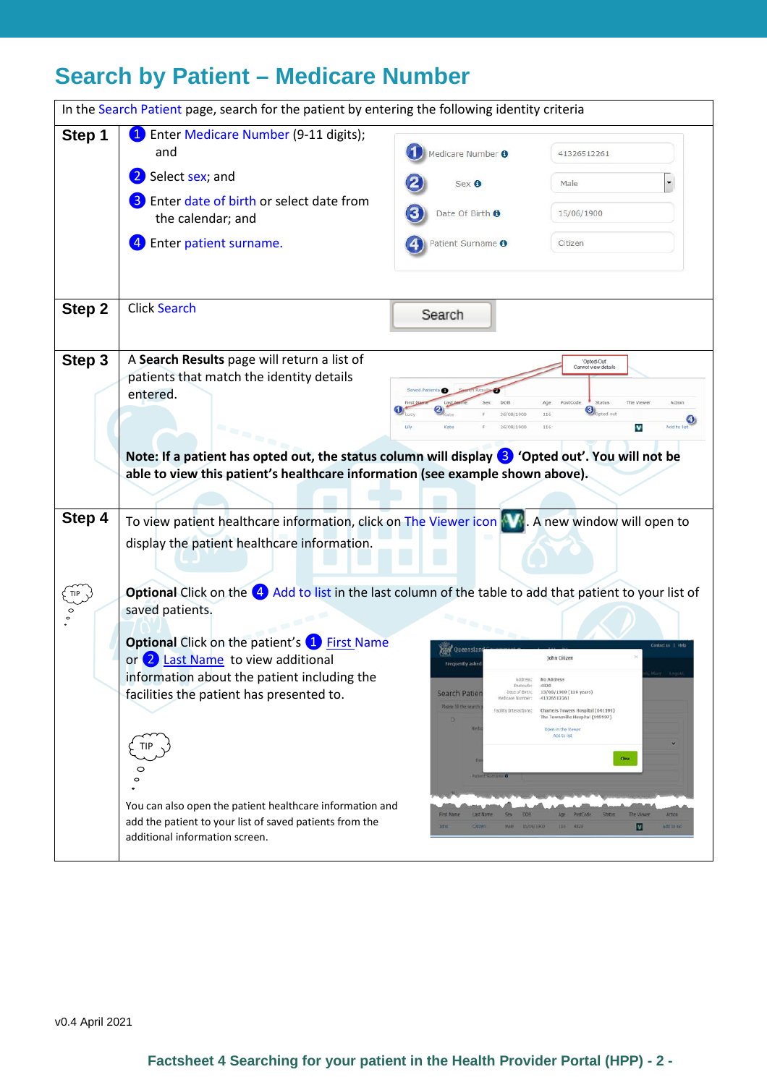### **Search by Patient – Medicare Number**

|        | In the Search Patient page, search for the patient by entering the following identity criteria                                                                                                                                                                                                                                                                                                                                                                                                                 |                                                                                                                                                                                                                                                                          |                                                                                                                                                                                                                                                                                                   |                                       |
|--------|----------------------------------------------------------------------------------------------------------------------------------------------------------------------------------------------------------------------------------------------------------------------------------------------------------------------------------------------------------------------------------------------------------------------------------------------------------------------------------------------------------------|--------------------------------------------------------------------------------------------------------------------------------------------------------------------------------------------------------------------------------------------------------------------------|---------------------------------------------------------------------------------------------------------------------------------------------------------------------------------------------------------------------------------------------------------------------------------------------------|---------------------------------------|
| Step 1 | <sup>1</sup> Enter Medicare Number (9-11 digits);<br>and                                                                                                                                                                                                                                                                                                                                                                                                                                                       | Medicare Number <sup>O</sup>                                                                                                                                                                                                                                             | 41326512261                                                                                                                                                                                                                                                                                       |                                       |
|        | Select sex; and                                                                                                                                                                                                                                                                                                                                                                                                                                                                                                | Sex O                                                                                                                                                                                                                                                                    | Male                                                                                                                                                                                                                                                                                              |                                       |
|        | Enter date of birth or select date from<br>the calendar; and                                                                                                                                                                                                                                                                                                                                                                                                                                                   | Date Of Birth O                                                                                                                                                                                                                                                          | 15/06/1900                                                                                                                                                                                                                                                                                        |                                       |
|        | Enter patient surname.<br>4                                                                                                                                                                                                                                                                                                                                                                                                                                                                                    | Patient Surname <sup>O</sup>                                                                                                                                                                                                                                             | Citizen                                                                                                                                                                                                                                                                                           |                                       |
| Step 2 | <b>Click Search</b>                                                                                                                                                                                                                                                                                                                                                                                                                                                                                            | Search                                                                                                                                                                                                                                                                   |                                                                                                                                                                                                                                                                                                   |                                       |
| Step 3 | A Search Results page will return a list of<br>patients that match the identity details<br>entered.<br>n ma <sub>n</sub><br>Note: If a patient has opted out, the status column will display 3 'Opted out'. You will not be<br>able to view this patient's healthcare information (see example shown above).                                                                                                                                                                                                   | 26/08/1900<br>Lily<br>26/08/1900                                                                                                                                                                                                                                         | 'Opted-Out'<br>Cannot view details<br>Status<br>oted out<br>116<br>116<br>v                                                                                                                                                                                                                       | Add to lis                            |
| Step 4 | To view patient healthcare information, click on The Viewer icon<br>display the patient healthcare information.                                                                                                                                                                                                                                                                                                                                                                                                |                                                                                                                                                                                                                                                                          | A new window will open to                                                                                                                                                                                                                                                                         |                                       |
|        | Optional Click on the 4 Add to list in the last column of the table to add that patient to your list of<br>saved patients.<br><b>Optional Click on the patient's 1 First Name</b><br>or 2 Last Name to view additional<br>information about the patient including the<br>facilities the patient has presented to.<br><b>TIP</b><br>$\circ$<br>$\circ$<br>You can also open the patient healthcare information and<br>add the patient to your list of saved patients from the<br>additional information screen. | Oueens<br>Frequently ask<br>Address:<br>Postcode:<br>Date of Birth:<br>Search Patier<br>Medicare Number:<br>Please fill the searc<br>Facility Interactions:<br><b>Patter&amp; Surr</b><br>First Name<br>Last Name<br>DOB<br><b>Sex</b><br><b>John</b><br>Citizen<br>Male | John Citizen<br>No Address<br>4820<br>15/06/1900 (116 years)<br>41326512261<br>Charters Towers Hospital (041199)<br>The Townsville Hospital (999997)<br>Open in the Vewer<br>Add to list<br>$_{\rm Cke}$<br>PostCode<br><b>Status</b><br>The Viewe<br><b>Age</b><br>15/06/1900<br>V<br>П€<br>4820 | Contact us  <br>Action<br>Add to list |

v0.4 April 2021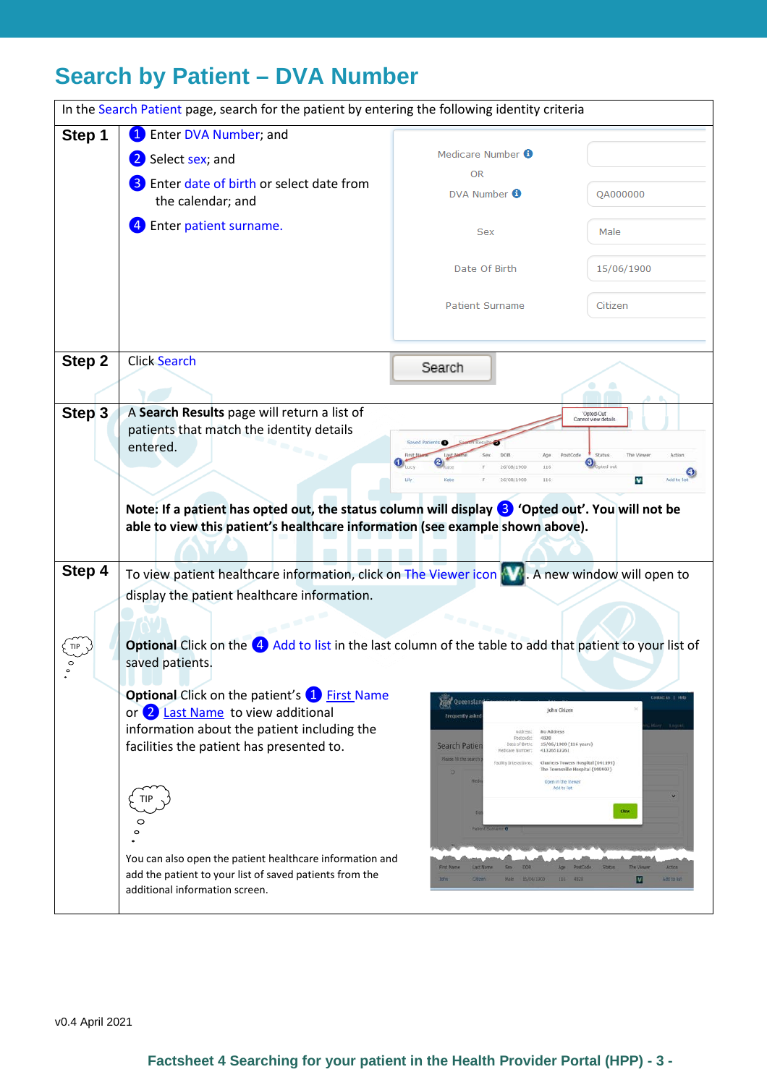### **Search by Patient – DVA Number**

|                   | In the Search Patient page, search for the patient by entering the following identity criteria                                                                                                                                                                                                                                    |                                                                                                                                                                                                                                                                                                                                                                                                         |                                                                                                                                                             |  |  |
|-------------------|-----------------------------------------------------------------------------------------------------------------------------------------------------------------------------------------------------------------------------------------------------------------------------------------------------------------------------------|---------------------------------------------------------------------------------------------------------------------------------------------------------------------------------------------------------------------------------------------------------------------------------------------------------------------------------------------------------------------------------------------------------|-------------------------------------------------------------------------------------------------------------------------------------------------------------|--|--|
| Step 1            | Enter DVA Number; and<br>$\mathbf{1}$                                                                                                                                                                                                                                                                                             |                                                                                                                                                                                                                                                                                                                                                                                                         |                                                                                                                                                             |  |  |
|                   | Select sex; and<br>$\mathbf{2}$                                                                                                                                                                                                                                                                                                   | Medicare Number <sup>6</sup>                                                                                                                                                                                                                                                                                                                                                                            |                                                                                                                                                             |  |  |
|                   | Enter date of birth or select date from                                                                                                                                                                                                                                                                                           | <b>OR</b>                                                                                                                                                                                                                                                                                                                                                                                               |                                                                                                                                                             |  |  |
|                   | the calendar; and                                                                                                                                                                                                                                                                                                                 | DVA Number <sup>6</sup>                                                                                                                                                                                                                                                                                                                                                                                 | QA000000                                                                                                                                                    |  |  |
|                   | Enter patient surname.                                                                                                                                                                                                                                                                                                            | Sex                                                                                                                                                                                                                                                                                                                                                                                                     | Male                                                                                                                                                        |  |  |
|                   |                                                                                                                                                                                                                                                                                                                                   |                                                                                                                                                                                                                                                                                                                                                                                                         |                                                                                                                                                             |  |  |
|                   |                                                                                                                                                                                                                                                                                                                                   | Date Of Birth                                                                                                                                                                                                                                                                                                                                                                                           | 15/06/1900                                                                                                                                                  |  |  |
|                   |                                                                                                                                                                                                                                                                                                                                   | <b>Patient Surname</b>                                                                                                                                                                                                                                                                                                                                                                                  | Citizen                                                                                                                                                     |  |  |
| Step 2            | <b>Click Search</b>                                                                                                                                                                                                                                                                                                               | Search                                                                                                                                                                                                                                                                                                                                                                                                  |                                                                                                                                                             |  |  |
| Step <sub>3</sub> | A Search Results page will return a list of                                                                                                                                                                                                                                                                                       |                                                                                                                                                                                                                                                                                                                                                                                                         | 'Opted-Out'                                                                                                                                                 |  |  |
|                   | Cannot view detail<br>patients that match the identity details                                                                                                                                                                                                                                                                    |                                                                                                                                                                                                                                                                                                                                                                                                         |                                                                                                                                                             |  |  |
|                   | entered.                                                                                                                                                                                                                                                                                                                          | DOR<br>Age                                                                                                                                                                                                                                                                                                                                                                                              | Status<br>PostCode<br>The View<br>Artion                                                                                                                    |  |  |
|                   |                                                                                                                                                                                                                                                                                                                                   | 116<br>26/08/1900<br>Lily<br>26/08/1900<br>116                                                                                                                                                                                                                                                                                                                                                          | ອ<br>loted out<br>Add to list<br>v                                                                                                                          |  |  |
| Step 4            | Note: If a patient has opted out, the status column will display <sup>3</sup> 'Opted out'. You will not be<br>able to view this patient's healthcare information (see example shown above).<br>To view patient healthcare information, click on The Viewer icon AM. A new window will open to                                     |                                                                                                                                                                                                                                                                                                                                                                                                         |                                                                                                                                                             |  |  |
|                   | display the patient healthcare information.                                                                                                                                                                                                                                                                                       |                                                                                                                                                                                                                                                                                                                                                                                                         |                                                                                                                                                             |  |  |
|                   |                                                                                                                                                                                                                                                                                                                                   | n n n n                                                                                                                                                                                                                                                                                                                                                                                                 |                                                                                                                                                             |  |  |
| TIP               | Optional Click on the 4 Add to list in the last column of the table to add that patient to your list of<br>saved patients.                                                                                                                                                                                                        |                                                                                                                                                                                                                                                                                                                                                                                                         |                                                                                                                                                             |  |  |
|                   | <b>Optional Click on the patient's 1</b> First Name<br>or 2 Last Name to view additional<br>information about the patient including the<br>facilities the patient has presented to.<br>TIP<br>⌒<br>$\circ$<br>You can also open the patient healthcare information and<br>add the patient to your list of saved patients from the | <b>Oueenslan</b><br>John Citizen<br>Frequently asked<br>Address:<br>No Address<br>Postcode:<br>4820<br>Date of Birth:<br>15/05/1900 (116 years)<br>Search Patier<br>41326512261<br>Medicare Number:<br>Please fill the search<br>Facility Interactions:<br>Open in the Vewer<br>Add to list<br><b>Fallent Suman</b><br>DOR<br>First Name<br>Last Name<br><b>John</b><br>cozen<br>Male 15/06/1900<br>HE- | Costactus   Help<br>Charters Towers Hospital (041199)<br>The Townsville Hospital (999997)<br><b>Class</b><br>Arrion<br>The View<br>V<br>4820<br>Add to list |  |  |
|                   | additional information screen.                                                                                                                                                                                                                                                                                                    |                                                                                                                                                                                                                                                                                                                                                                                                         |                                                                                                                                                             |  |  |

v0.4 April 2021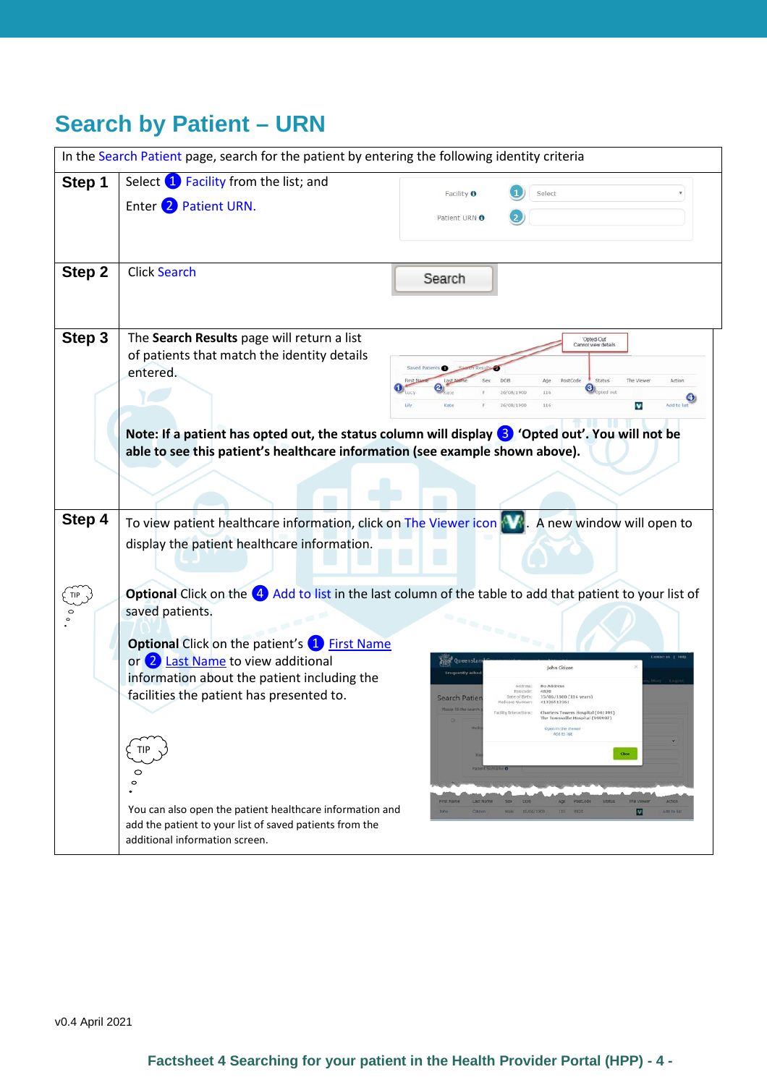### **Search by Patient – URN**

|        | In the Search Patient page, search for the patient by entering the following identity criteria                                                                                      |                                                                                                                                                                                                                                                                           |  |  |  |
|--------|-------------------------------------------------------------------------------------------------------------------------------------------------------------------------------------|---------------------------------------------------------------------------------------------------------------------------------------------------------------------------------------------------------------------------------------------------------------------------|--|--|--|
| Step 1 | Select 1 Facility from the list; and<br>Enter 2 Patient URN.                                                                                                                        | Facility <b>O</b><br>Select<br>Patient URN O                                                                                                                                                                                                                              |  |  |  |
| Step 2 | <b>Click Search</b>                                                                                                                                                                 | Search                                                                                                                                                                                                                                                                    |  |  |  |
| Step 3 | The Search Results page will return a list<br>of patients that match the identity details<br>entered.                                                                               | 'Opted-Out'<br>Cannot view details<br>Saved Patie<br>PostCode<br>116<br>Add to lis<br>116<br>V<br>Kate<br>26/08/1900<br>Note: If a patient has opted out, the status column will display <sup>3</sup> 'Opted out'. You will not be                                        |  |  |  |
| Step 4 | able to see this patient's healthcare information (see example shown above).<br>To view patient healthcare information, click on The Viewer icon                                    | A new window will open to                                                                                                                                                                                                                                                 |  |  |  |
| TIP    | display the patient healthcare information.<br>Optional Click on the 4 Add to list in the last column of the table to add that patient to your list of<br>saved patients.           |                                                                                                                                                                                                                                                                           |  |  |  |
|        | <b>Optional Click on the patient's 1 First Name</b><br>or 2 Last Name to view additional<br>information about the patient including the<br>facilities the patient has presented to. | <b>Oueensla</b><br>John Citizer<br>Frequently ask<br>No Address<br>4820<br>15/06/1900 (116 years)<br>Date of Birth:<br>Search Patie<br>41326512261<br>Charters Towers Hospital (041199)<br>The Townsville Hospital (999997)<br>Open in the Viewer<br>Add to list<br>Close |  |  |  |
|        | $\circ$<br>$\circ$<br>You can also open the patient healthcare information and<br>add the patient to your list of saved patients from the<br>additional information screen.         | Action<br>First name<br>Last Name<br>Site:<br>DOH.<br>Age.<br><b>Status</b><br>The viewer<br><b>POSTLOGE</b><br>15/06/1900<br>HO.<br>4820<br>M<br>ANIBIR<br>Citizen<br><b>Mate</b>                                                                                        |  |  |  |